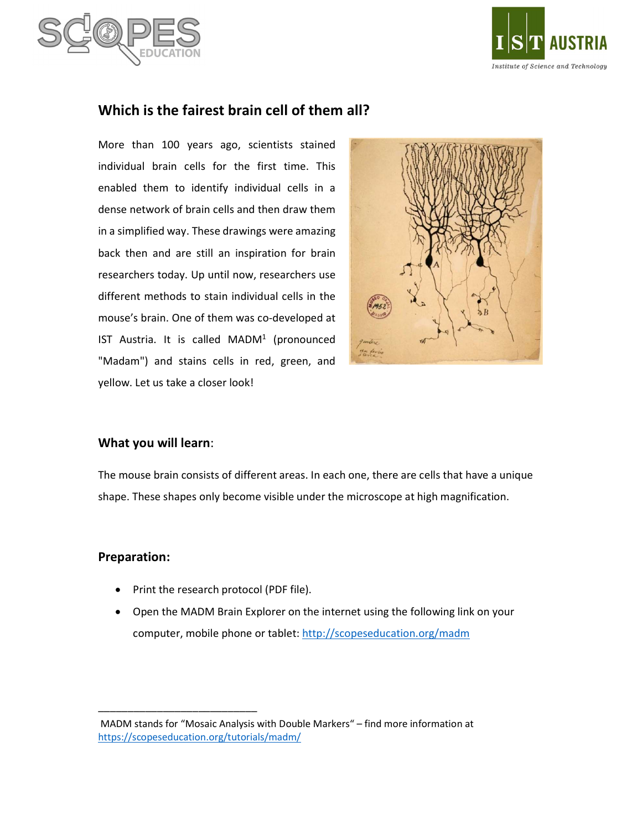



# Which is the fairest brain cell of them all?

More than 100 years ago, scientists stained individual brain cells for the first time. This enabled them to identify individual cells in a dense network of brain cells and then draw them in a simplified way. These drawings were amazing back then and are still an inspiration for brain researchers today. Up until now, researchers use different methods to stain individual cells in the mouse's brain. One of them was co-developed at IST Austria. It is called  $MADM<sup>1</sup>$  (pronounced "Madam") and stains cells in red, green, and yellow. Let us take a closer look!



## What you will learn:

The mouse brain consists of different areas. In each one, there are cells that have a unique shape. These shapes only become visible under the microscope at high magnification.

#### Preparation:

• Print the research protocol (PDF file).

\_\_\_\_\_\_\_\_\_\_\_\_\_\_\_\_\_\_\_\_\_\_\_\_\_\_\_

 Open the MADM Brain Explorer on the internet using the following link on your computer, mobile phone or tablet: http://scopeseducation.org/madm

MADM stands for "Mosaic Analysis with Double Markers" – find more information at https://scopeseducation.org/tutorials/madm/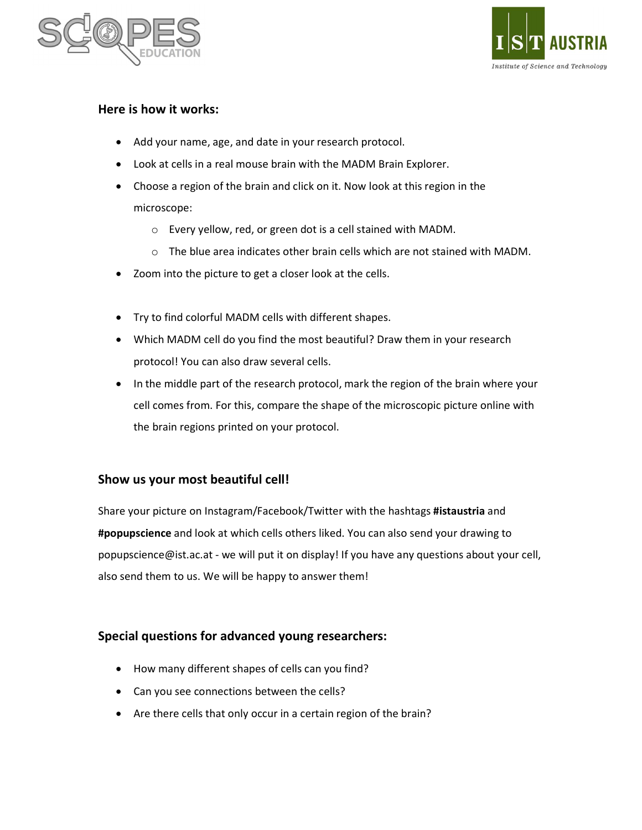



# Here is how it works:

- Add your name, age, and date in your research protocol.
- Look at cells in a real mouse brain with the MADM Brain Explorer.
- Choose a region of the brain and click on it. Now look at this region in the microscope:
	- o Every yellow, red, or green dot is a cell stained with MADM.
	- $\circ$  The blue area indicates other brain cells which are not stained with MADM.
- Zoom into the picture to get a closer look at the cells.
- Try to find colorful MADM cells with different shapes.
- Which MADM cell do you find the most beautiful? Draw them in your research protocol! You can also draw several cells.
- In the middle part of the research protocol, mark the region of the brain where your cell comes from. For this, compare the shape of the microscopic picture online with the brain regions printed on your protocol.

## Show us your most beautiful cell!

Share your picture on Instagram/Facebook/Twitter with the hashtags #istaustria and #popupscience and look at which cells others liked. You can also send your drawing to popupscience@ist.ac.at - we will put it on display! If you have any questions about your cell, also send them to us. We will be happy to answer them!

## Special questions for advanced young researchers:

- How many different shapes of cells can you find?
- Can you see connections between the cells?
- Are there cells that only occur in a certain region of the brain?